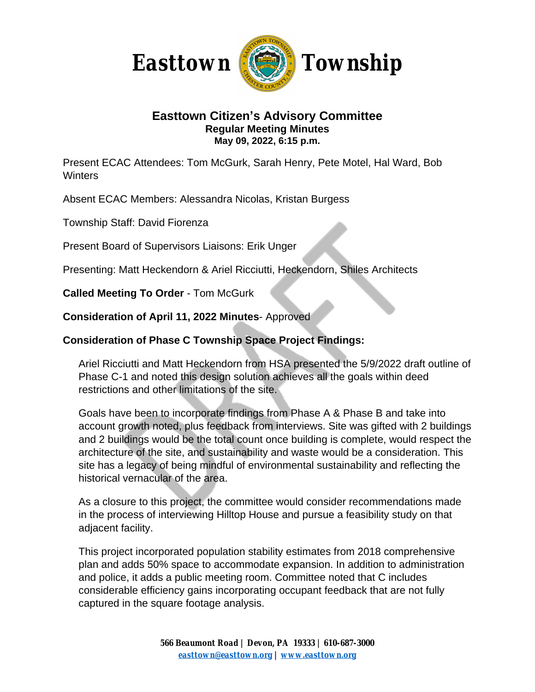

# **Easttown Citizen's Advisory Committee Regular Meeting Minutes May 09, 2022, 6:15 p.m.**

Present ECAC Attendees: Tom McGurk, Sarah Henry, Pete Motel, Hal Ward, Bob **Winters** 

Absent ECAC Members: Alessandra Nicolas, Kristan Burgess

Township Staff: David Fiorenza

Present Board of Supervisors Liaisons: Erik Unger

Presenting: Matt Heckendorn & Ariel Ricciutti, Heckendorn, Shiles Architects

**Called Meeting To Order** - Tom McGurk

## **Consideration of April 11, 2022 Minutes**- Approved

# **Consideration of Phase C Township Space Project Findings:**

Ariel Ricciutti and Matt Heckendorn from HSA presented the 5/9/2022 draft outline of Phase C-1 and noted this design solution achieves all the goals within deed restrictions and other limitations of the site.

Goals have been to incorporate findings from Phase A & Phase B and take into account growth noted, plus feedback from interviews. Site was gifted with 2 buildings and 2 buildings would be the total count once building is complete, would respect the architecture of the site, and sustainability and waste would be a consideration. This site has a legacy of being mindful of environmental sustainability and reflecting the historical vernacular of the area.

As a closure to this project, the committee would consider recommendations made in the process of interviewing Hilltop House and pursue a feasibility study on that adjacent facility.

This project incorporated population stability estimates from 2018 comprehensive plan and adds 50% space to accommodate expansion. In addition to administration and police, it adds a public meeting room. Committee noted that C includes considerable efficiency gains incorporating occupant feedback that are not fully captured in the square footage analysis.